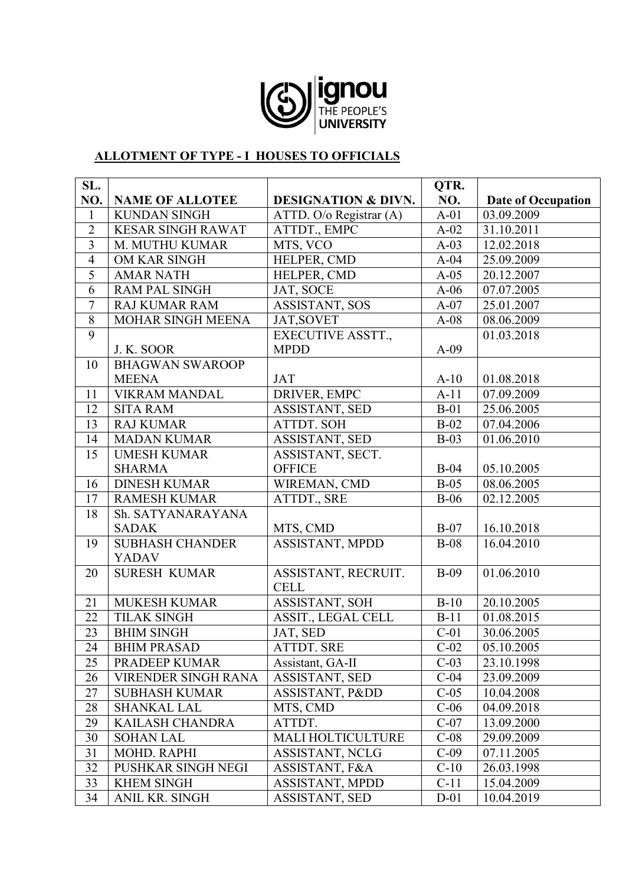

#### **ALLOTMENT OF TYPE - I HOUSES TO OFFICIALS**

| SL.            |                          |                                | QTR.   |                           |
|----------------|--------------------------|--------------------------------|--------|---------------------------|
| NO.            | <b>NAME OF ALLOTEE</b>   | <b>DESIGNATION &amp; DIVN.</b> | NO.    | <b>Date of Occupation</b> |
| $\mathbf{1}$   | <b>KUNDAN SINGH</b>      | ATTD. O/o Registrar (A)        | $A-01$ | 03.09.2009                |
| $\overline{2}$ | <b>KESAR SINGH RAWAT</b> | ATTDT., EMPC                   | $A-02$ | 31.10.2011                |
| $\overline{3}$ | M. MUTHU KUMAR           | MTS, VCO                       | $A-03$ | 12.02.2018                |
| $\overline{4}$ | OM KAR SINGH             | HELPER, CMD                    | $A-04$ | 25.09.2009                |
| 5              | <b>AMAR NATH</b>         | HELPER, CMD                    | $A-05$ | 20.12.2007                |
| 6              | <b>RAM PAL SINGH</b>     | JAT, SOCE                      | $A-06$ | 07.07.2005                |
| $\overline{7}$ | <b>RAJ KUMAR RAM</b>     | ASSISTANT, SOS                 | $A-07$ | 25.01.2007                |
| $\overline{8}$ | MOHAR SINGH MEENA        | JAT, SOVET                     | $A-08$ | 08.06.2009                |
| $\overline{9}$ |                          | <b>EXECUTIVE ASSTT.,</b>       |        | 01.03.2018                |
|                | J. K. SOOR               | <b>MPDD</b>                    | $A-09$ |                           |
| 10             | <b>BHAGWAN SWAROOP</b>   |                                |        |                           |
|                | <b>MEENA</b>             | <b>JAT</b>                     | $A-10$ | 01.08.2018                |
| 11             | <b>VIKRAM MANDAL</b>     | DRIVER, EMPC                   | $A-11$ | 07.09.2009                |
| 12             | <b>SITA RAM</b>          | ASSISTANT, SED                 | $B-01$ | 25.06.2005                |
| 13             | <b>RAJ KUMAR</b>         | <b>ATTDT. SOH</b>              | $B-02$ | 07.04.2006                |
| 14             | <b>MADAN KUMAR</b>       | ASSISTANT, SED                 | $B-03$ | 01.06.2010                |
| 15             | <b>UMESH KUMAR</b>       | ASSISTANT, SECT.               |        |                           |
|                | <b>SHARMA</b>            | <b>OFFICE</b>                  | $B-04$ | 05.10.2005                |
| 16             | <b>DINESH KUMAR</b>      | WIREMAN, CMD                   | $B-05$ | 08.06.2005                |
| 17             | <b>RAMESH KUMAR</b>      | ATTDT., SRE                    | $B-06$ | 02.12.2005                |
| 18             | Sh. SATYANARAYANA        |                                |        |                           |
|                | <b>SADAK</b>             | MTS, CMD                       | $B-07$ | 16.10.2018                |
| 19             | <b>SUBHASH CHANDER</b>   | ASSISTANT, MPDD                | $B-08$ | 16.04.2010                |
|                | <b>YADAV</b>             |                                |        |                           |
| 20             | <b>SURESH KUMAR</b>      | ASSISTANT, RECRUIT.            | $B-09$ | 01.06.2010                |
|                |                          | <b>CELL</b>                    |        |                           |
| 21             | <b>MUKESH KUMAR</b>      | ASSISTANT, SOH                 | $B-10$ | 20.10.2005                |
| 22             | <b>TILAK SINGH</b>       | ASSIT., LEGAL CELL             | $B-11$ | 01.08.2015                |
| 23             | <b>BHIM SINGH</b>        | JAT, SED                       | $C-01$ | 30.06.2005                |
| 24             | <b>BHIM PRASAD</b>       | <b>ATTDT. SRE</b>              | $C-02$ | 05.10.2005                |
| 25             | PRADEEP KUMAR            | Assistant, GA-II               | $C-03$ | 23.10.1998                |
| 26             | VIRENDER SINGH RANA      | ASSISTANT, SED                 | $C-04$ | 23.09.2009                |
| 27             | <b>SUBHASH KUMAR</b>     | ASSISTANT, Pⅅ                  | $C-05$ | 10.04.2008                |
| 28             | <b>SHANKAL LAL</b>       | MTS, CMD                       | $C-06$ | 04.09.2018                |
| 29             | KAILASH CHANDRA          | ATTDT.                         | $C-07$ | 13.09.2000                |
| 30             | <b>SOHAN LAL</b>         | <b>MALI HOLTICULTURE</b>       | $C-08$ | 29.09.2009                |
| 31             | MOHD. RAPHI              | ASSISTANT, NCLG                | $C-09$ | 07.11.2005                |
| 32             | PUSHKAR SINGH NEGI       | ASSISTANT, F&A                 | $C-10$ | 26.03.1998                |
| 33             | <b>KHEM SINGH</b>        | ASSISTANT, MPDD                | $C-11$ | 15.04.2009                |
| 34             | ANIL KR. SINGH           | <b>ASSISTANT, SED</b>          | $D-01$ | 10.04.2019                |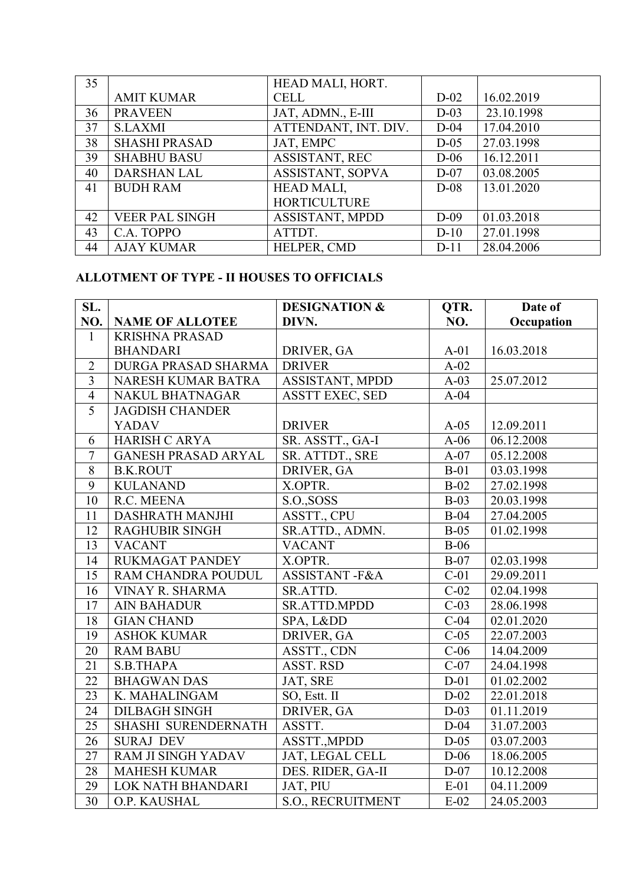| 35 |                       | HEAD MALI, HORT.     |        |            |
|----|-----------------------|----------------------|--------|------------|
|    | <b>AMIT KUMAR</b>     | <b>CELL</b>          | $D-02$ | 16.02.2019 |
| 36 | <b>PRAVEEN</b>        | JAT, ADMN., E-III    | $D-03$ | 23.10.1998 |
| 37 | <b>S.LAXMI</b>        | ATTENDANT, INT. DIV. | $D-04$ | 17.04.2010 |
| 38 | <b>SHASHI PRASAD</b>  | JAT, EMPC            | $D-05$ | 27.03.1998 |
| 39 | <b>SHABHU BASU</b>    | ASSISTANT, REC       | $D-06$ | 16.12.2011 |
| 40 | <b>DARSHAN LAL</b>    | ASSISTANT, SOPVA     | $D-07$ | 03.08.2005 |
| 41 | <b>BUDH RAM</b>       | HEAD MALI,           | $D-08$ | 13.01.2020 |
|    |                       | <b>HORTICULTURE</b>  |        |            |
| 42 | <b>VEER PAL SINGH</b> | ASSISTANT, MPDD      | $D-09$ | 01.03.2018 |
| 43 | C.A. TOPPO            | ATTDT.               | $D-10$ | 27.01.1998 |
| 44 | <b>AJAY KUMAR</b>     | HELPER, CMD          | $D-11$ | 28.04.2006 |

#### **ALLOTMENT OF TYPE - II HOUSES TO OFFICIALS**

| SL.            |                            | <b>DESIGNATION &amp;</b> | QTR.              | Date of    |
|----------------|----------------------------|--------------------------|-------------------|------------|
| NO.            | <b>NAME OF ALLOTEE</b>     | DIVN.                    | NO.               | Occupation |
| $\mathbf{1}$   | <b>KRISHNA PRASAD</b>      |                          |                   |            |
|                | <b>BHANDARI</b>            | DRIVER, GA               | $A-01$            | 16.03.2018 |
| $\overline{2}$ | <b>DURGA PRASAD SHARMA</b> | <b>DRIVER</b>            | $\overline{A-02}$ |            |
| $\overline{3}$ | NARESH KUMAR BATRA         | ASSISTANT, MPDD          | $A-03$            | 25.07.2012 |
| $\overline{4}$ | <b>NAKUL BHATNAGAR</b>     | <b>ASSTT EXEC, SED</b>   | $A-04$            |            |
| $\overline{5}$ | <b>JAGDISH CHANDER</b>     |                          |                   |            |
|                | <b>YADAV</b>               | <b>DRIVER</b>            | $A-05$            | 12.09.2011 |
| 6              | <b>HARISH C ARYA</b>       | SR. ASSTT., GA-I         | $A-06$            | 06.12.2008 |
| $\overline{7}$ | <b>GANESH PRASAD ARYAL</b> | SR. ATTDT., SRE          | $A-07$            | 05.12.2008 |
| $\,8\,$        | <b>B.K.ROUT</b>            | DRIVER, GA               | $B-01$            | 03.03.1998 |
| $\overline{9}$ | <b>KULANAND</b>            | X.OPTR.                  | $B-02$            | 27.02.1998 |
| 10             | R.C. MEENA                 | S.O., SOSS               | $B-03$            | 20.03.1998 |
| 11             | <b>DASHRATH MANJHI</b>     | ASSTT., CPU              | $B-04$            | 27.04.2005 |
| 12             | <b>RAGHUBIR SINGH</b>      | SR.ATTD., ADMN.          | $B-05$            | 01.02.1998 |
| 13             | <b>VACANT</b>              | <b>VACANT</b>            | $B-06$            |            |
| 14             | <b>RUKMAGAT PANDEY</b>     | X.OPTR.                  | $B-07$            | 02.03.1998 |
| 15             | RAM CHANDRA POUDUL         | ASSISTANT-F&A            | $C-01$            | 29.09.2011 |
| 16             | VINAY R. SHARMA            | SR.ATTD.                 | $C-02$            | 02.04.1998 |
| 17             | <b>AIN BAHADUR</b>         | <b>SR.ATTD.MPDD</b>      | $C-03$            | 28.06.1998 |
| 18             | <b>GIAN CHAND</b>          | SPA, Lⅅ                  | $C-04$            | 02.01.2020 |
| 19             | <b>ASHOK KUMAR</b>         | DRIVER, GA               | $\overline{C-05}$ | 22.07.2003 |
| 20             | <b>RAM BABU</b>            | ASSTT., CDN              | $C-06$            | 14.04.2009 |
| 21             | S.B.THAPA                  | ASST. RSD                | $C-07$            | 24.04.1998 |
| 22             | <b>BHAGWAN DAS</b>         | JAT, SRE                 | $D-01$            | 01.02.2002 |
| 23             | K. MAHALINGAM              | SO, Estt. II             | $D-02$            | 22.01.2018 |
| 24             | <b>DILBAGH SINGH</b>       | DRIVER, GA               | $D-03$            | 01.11.2019 |
| 25             | SHASHI SURENDERNATH        | ASSTT.                   | $D-04$            | 31.07.2003 |
| 26             | <b>SURAJ DEV</b>           | ASSTT., MPDD             | $D-05$            | 03.07.2003 |
| 27             | RAM JI SINGH YADAV         | JAT, LEGAL CELL          | $D-06$            | 18.06.2005 |
| 28             | <b>MAHESH KUMAR</b>        | DES. RIDER, GA-II        | $D-07$            | 10.12.2008 |
| 29             | LOK NATH BHANDARI          | JAT, PIU                 | $E-01$            | 04.11.2009 |
| 30             | O.P. KAUSHAL               | S.O., RECRUITMENT        | $E-02$            | 24.05.2003 |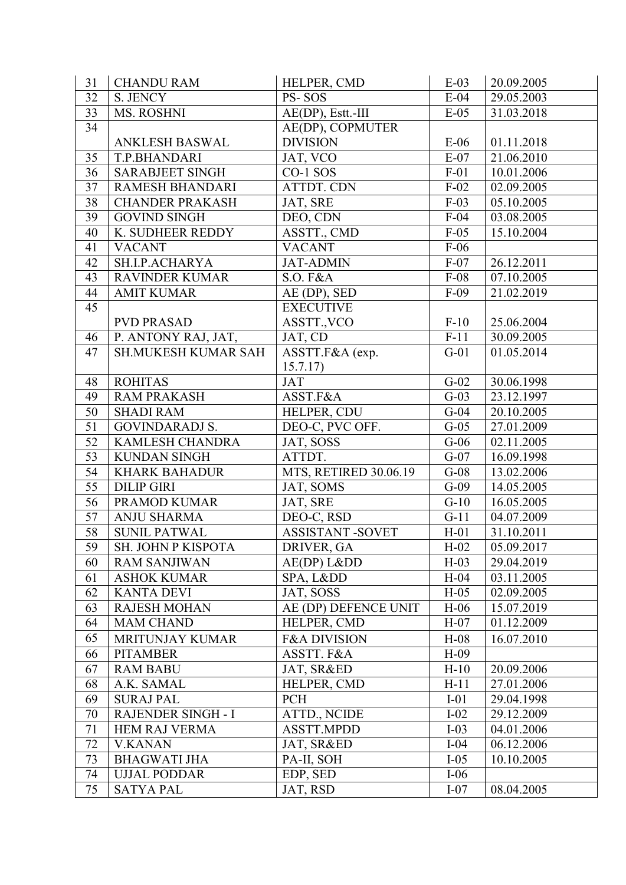| 31 | <b>CHANDU RAM</b>          | HELPER, CMD             | $E-03$ | 20.09.2005 |
|----|----------------------------|-------------------------|--------|------------|
| 32 | S. JENCY                   | PS-SOS                  | $E-04$ | 29.05.2003 |
| 33 | MS. ROSHNI                 | AE(DP), Estt.-III       | $E-05$ | 31.03.2018 |
| 34 |                            | AE(DP), COPMUTER        |        |            |
|    | ANKLESH BASWAL             | <b>DIVISION</b>         | $E-06$ | 01.11.2018 |
| 35 | T.P.BHANDARI               | JAT, VCO                | $E-07$ | 21.06.2010 |
| 36 | <b>SARABJEET SINGH</b>     | CO-1 SOS                | $F-01$ | 10.01.2006 |
| 37 | <b>RAMESH BHANDARI</b>     | ATTDT. CDN              | $F-02$ | 02.09.2005 |
| 38 | <b>CHANDER PRAKASH</b>     | JAT, SRE                | $F-03$ | 05.10.2005 |
| 39 | <b>GOVIND SINGH</b>        | DEO, CDN                | $F-04$ | 03.08.2005 |
| 40 | K. SUDHEER REDDY           | ASSTT., CMD             | $F-05$ | 15.10.2004 |
| 41 | <b>VACANT</b>              | <b>VACANT</b>           | $F-06$ |            |
| 42 | SH.I.P.ACHARYA             | <b>JAT-ADMIN</b>        | $F-07$ | 26.12.2011 |
| 43 | <b>RAVINDER KUMAR</b>      | S.O. F&A                | $F-08$ | 07.10.2005 |
| 44 | <b>AMIT KUMAR</b>          | AE (DP), SED            | $F-09$ | 21.02.2019 |
| 45 |                            | <b>EXECUTIVE</b>        |        |            |
|    | <b>PVD PRASAD</b>          | ASSTT., VCO             | $F-10$ | 25.06.2004 |
| 46 | P. ANTONY RAJ, JAT,        | JAT, CD                 | $F-11$ | 30.09.2005 |
| 47 | <b>SH.MUKESH KUMAR SAH</b> | ASSTT.F&A (exp.         | $G-01$ | 01.05.2014 |
|    |                            | 15.7.17)                |        |            |
| 48 | <b>ROHITAS</b>             | JAT                     | $G-02$ | 30.06.1998 |
| 49 | <b>RAM PRAKASH</b>         | ASST.F&A                | $G-03$ | 23.12.1997 |
| 50 | <b>SHADI RAM</b>           | HELPER, CDU             | $G-04$ | 20.10.2005 |
| 51 | <b>GOVINDARADJ S.</b>      | DEO-C, PVC OFF.         | $G-05$ | 27.01.2009 |
| 52 | <b>KAMLESH CHANDRA</b>     | JAT, SOSS               | $G-06$ | 02.11.2005 |
| 53 | <b>KUNDAN SINGH</b>        | ATTDT.                  | $G-07$ | 16.09.1998 |
| 54 | <b>KHARK BAHADUR</b>       | MTS, RETIRED 30.06.19   | $G-08$ | 13.02.2006 |
| 55 | <b>DILIP GIRI</b>          | JAT, SOMS               | $G-09$ | 14.05.2005 |
| 56 | PRAMOD KUMAR               | JAT, SRE                | $G-10$ | 16.05.2005 |
| 57 | <b>ANJU SHARMA</b>         | DEO-C, RSD              | $G-11$ | 04.07.2009 |
| 58 | <b>SUNIL PATWAL</b>        | <b>ASSISTANT -SOVET</b> | $H-01$ | 31.10.2011 |
| 59 | SH. JOHN P KISPOTA         | DRIVER, GA              | $H-02$ | 05.09.2017 |
| 60 | <b>RAM SANJIWAN</b>        | AE(DP) Lⅅ               | $H-03$ | 29.04.2019 |
| 61 | <b>ASHOK KUMAR</b>         | SPA, Lⅅ                 | $H-04$ | 03.11.2005 |
| 62 | <b>KANTA DEVI</b>          | JAT, SOSS               | $H-05$ | 02.09.2005 |
| 63 | <b>RAJESH MOHAN</b>        | AE (DP) DEFENCE UNIT    | $H-06$ | 15.07.2019 |
| 64 | <b>MAM CHAND</b>           | HELPER, CMD             | $H-07$ | 01.12.2009 |
| 65 | <b>MRITUNJAY KUMAR</b>     | <b>F&amp;A DIVISION</b> | $H-08$ | 16.07.2010 |
| 66 | <b>PITAMBER</b>            | ASSTT. F&A              | $H-09$ |            |
| 67 | <b>RAM BABU</b>            | JAT, SR&ED              | $H-10$ | 20.09.2006 |
| 68 | A.K. SAMAL                 | HELPER, CMD             | $H-11$ | 27.01.2006 |
| 69 | <b>SURAJ PAL</b>           | <b>PCH</b>              | $I-01$ | 29.04.1998 |
| 70 | RAJENDER SINGH - I         | ATTD., NCIDE            | $I-02$ | 29.12.2009 |
| 71 | <b>HEM RAJ VERMA</b>       | ASSTT.MPDD              | $I-03$ | 04.01.2006 |
| 72 | <b>V.KANAN</b>             | JAT, SR&ED              | $I-04$ | 06.12.2006 |
| 73 | <b>BHAGWATI JHA</b>        | PA-II, SOH              | $I-05$ | 10.10.2005 |
| 74 | <b>UJJAL PODDAR</b>        | EDP, SED                | $I-06$ |            |
| 75 | <b>SATYA PAL</b>           | JAT, RSD                | $I-07$ | 08.04.2005 |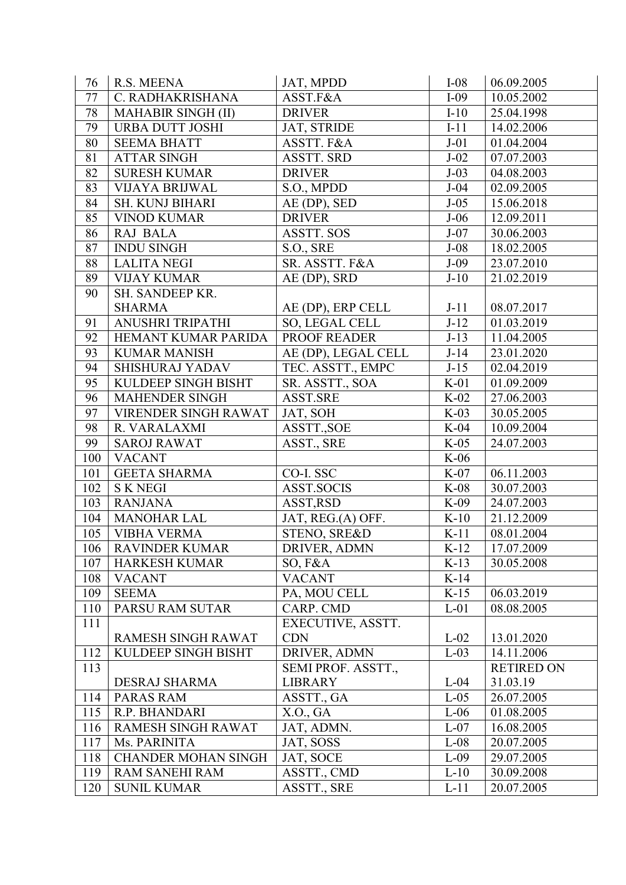| 76  | R.S. MEENA                 | JAT, MPDD           | $I-08$ | 06.09.2005        |
|-----|----------------------------|---------------------|--------|-------------------|
| 77  | C. RADHAKRISHANA           | ASST.F&A            | $I-09$ | 10.05.2002        |
| 78  | <b>MAHABIR SINGH (II)</b>  | <b>DRIVER</b>       | $I-10$ | 25.04.1998        |
| 79  | <b>URBA DUTT JOSHI</b>     | JAT, STRIDE         | $I-11$ | 14.02.2006        |
| 80  | <b>SEEMA BHATT</b>         | ASSTT. F&A          | $J-01$ | 01.04.2004        |
| 81  | <b>ATTAR SINGH</b>         | <b>ASSTT. SRD</b>   | $J-02$ | 07.07.2003        |
| 82  | <b>SURESH KUMAR</b>        | <b>DRIVER</b>       | $J-03$ | 04.08.2003        |
| 83  | <b>VIJAYA BRIJWAL</b>      | S.O., MPDD          | $J-04$ | 02.09.2005        |
| 84  | <b>SH. KUNJ BIHARI</b>     | AE (DP), SED        | $J-05$ | 15.06.2018        |
| 85  | <b>VINOD KUMAR</b>         | <b>DRIVER</b>       | $J-06$ | 12.09.2011        |
| 86  | RAJ BALA                   | <b>ASSTT. SOS</b>   | $J-07$ | 30.06.2003        |
| 87  | <b>INDU SINGH</b>          | S.O., SRE           | $J-08$ | 18.02.2005        |
| 88  | <b>LALITA NEGI</b>         | SR. ASSTT. F&A      | $J-09$ | 23.07.2010        |
| 89  | <b>VIJAY KUMAR</b>         | AE (DP), SRD        | $J-10$ | 21.02.2019        |
| 90  | SH. SANDEEP KR.            |                     |        |                   |
|     | <b>SHARMA</b>              | AE (DP), ERP CELL   | $J-11$ | 08.07.2017        |
| 91  | ANUSHRI TRIPATHI           | SO, LEGAL CELL      | $J-12$ | 01.03.2019        |
| 92  | HEMANT KUMAR PARIDA        | PROOF READER        | $J-13$ | 11.04.2005        |
| 93  | <b>KUMAR MANISH</b>        | AE (DP), LEGAL CELL | $J-14$ | 23.01.2020        |
| 94  | SHISHURAJ YADAV            | TEC. ASSTT., EMPC   | $J-15$ | 02.04.2019        |
| 95  | KULDEEP SINGH BISHT        | SR. ASSTT., SOA     | $K-01$ | 01.09.2009        |
| 96  | <b>MAHENDER SINGH</b>      | ASST.SRE            | $K-02$ | 27.06.2003        |
| 97  | VIRENDER SINGH RAWAT       | JAT, SOH            | $K-03$ | 30.05.2005        |
| 98  | R. VARALAXMI               | ASSTT., SOE         | $K-04$ | 10.09.2004        |
| 99  | <b>SAROJ RAWAT</b>         | ASST., SRE          | $K-05$ | 24.07.2003        |
| 100 | <b>VACANT</b>              |                     | $K-06$ |                   |
| 101 | <b>GEETA SHARMA</b>        | CO-I. SSC           | $K-07$ | 06.11.2003        |
| 102 | <b>SKNEGI</b>              | <b>ASST.SOCIS</b>   | $K-08$ | 30.07.2003        |
| 103 | <b>RANJANA</b>             | ASST, RSD           | $K-09$ | 24.07.2003        |
| 104 | <b>MANOHAR LAL</b>         | JAT, REG.(A) OFF.   | $K-10$ | 21.12.2009        |
| 105 | <b>VIBHA VERMA</b>         | STENO, SRE&D        | $K-11$ | 08.01.2004        |
| 106 | <b>RAVINDER KUMAR</b>      | DRIVER, ADMN        | $K-12$ | 17.07.2009        |
| 107 | <b>HARKESH KUMAR</b>       | $SO, F\&A$          | $K-13$ | 30.05.2008        |
| 108 | <b>VACANT</b>              | <b>VACANT</b>       | $K-14$ |                   |
| 109 | <b>SEEMA</b>               | PA, MOU CELL        | $K-15$ | 06.03.2019        |
| 110 | PARSU RAM SUTAR            | CARP. CMD           | $L-01$ | 08.08.2005        |
| 111 |                            | EXECUTIVE, ASSTT.   |        |                   |
|     | RAMESH SINGH RAWAT         | <b>CDN</b>          | $L-02$ | 13.01.2020        |
| 112 | KULDEEP SINGH BISHT        | DRIVER, ADMN        | $L-03$ | 14.11.2006        |
| 113 |                            | SEMI PROF. ASSTT.,  |        | <b>RETIRED ON</b> |
|     | DESRAJ SHARMA              | <b>LIBRARY</b>      | $L-04$ | 31.03.19          |
| 114 | <b>PARAS RAM</b>           | ASSTT., GA          | $L-05$ | 26.07.2005        |
| 115 | R.P. BHANDARI              | X.O., GA            | $L-06$ | 01.08.2005        |
| 116 | RAMESH SINGH RAWAT         | JAT, ADMN.          | $L-07$ | 16.08.2005        |
| 117 | Ms. PARINITA               | JAT, SOSS           | $L-08$ | 20.07.2005        |
| 118 | <b>CHANDER MOHAN SINGH</b> | JAT, SOCE           | $L-09$ | 29.07.2005        |
| 119 | <b>RAM SANEHI RAM</b>      | ASSTT., CMD         | $L-10$ | 30.09.2008        |
| 120 | <b>SUNIL KUMAR</b>         | ASSTT., SRE         | $L-11$ | 20.07.2005        |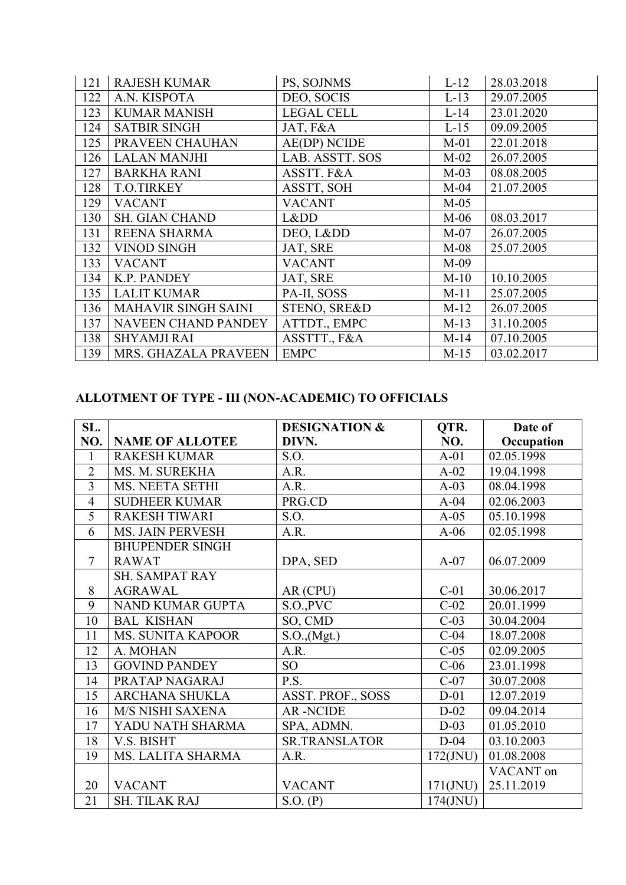| 121 | <b>RAJESH KUMAR</b>        | PS, SOJNMS          | $L-12$ | 28.03.2018 |
|-----|----------------------------|---------------------|--------|------------|
| 122 | A.N. KISPOTA               | DEO, SOCIS          | $L-13$ | 29.07.2005 |
| 123 | <b>KUMAR MANISH</b>        | <b>LEGAL CELL</b>   | $L-14$ | 23.01.2020 |
| 124 | <b>SATBIR SINGH</b>        | JAT, F&A            | $L-15$ | 09.09.2005 |
| 125 | PRAVEEN CHAUHAN            | <b>AE(DP) NCIDE</b> | $M-01$ | 22.01.2018 |
| 126 | <b>LALAN MANJHI</b>        | LAB. ASSTT. SOS     | $M-02$ | 26.07.2005 |
| 127 | <b>BARKHA RANI</b>         | ASSTT. F&A          | $M-03$ | 08.08.2005 |
| 128 | <b>T.O.TIRKEY</b>          | ASSTT, SOH          | $M-04$ | 21.07.2005 |
| 129 | <b>VACANT</b>              | <b>VACANT</b>       | $M-05$ |            |
| 130 | <b>SH. GIAN CHAND</b>      | Lⅅ                  | $M-06$ | 08.03.2017 |
| 131 | <b>REENA SHARMA</b>        | DEO, Lⅅ             | $M-07$ | 26.07.2005 |
| 132 | <b>VINOD SINGH</b>         | JAT, SRE            | $M-08$ | 25.07.2005 |
| 133 | <b>VACANT</b>              | <b>VACANT</b>       | $M-09$ |            |
| 134 | K.P. PANDEY                | JAT, SRE            | $M-10$ | 10.10.2005 |
| 135 | <b>LALIT KUMAR</b>         | PA-II, SOSS         | $M-11$ | 25.07.2005 |
| 136 | <b>MAHAVIR SINGH SAINI</b> | STENO, SRE&D        | $M-12$ | 26.07.2005 |
| 137 | <b>NAVEEN CHAND PANDEY</b> | ATTDT., EMPC        | $M-13$ | 31.10.2005 |
| 138 | <b>SHYAMJI RAI</b>         | ASSTTT., F&A        | $M-14$ | 07.10.2005 |
| 139 | MRS. GHAZALA PRAVEEN       | <b>EMPC</b>         | $M-15$ | 03.02.2017 |

#### **ALLOTMENT OF TYPE - III (NON-ACADEMIC) TO OFFICIALS**

| SL.            |                          | <b>DESIGNATION &amp;</b> | QTR.        | Date of    |
|----------------|--------------------------|--------------------------|-------------|------------|
| NO.            | <b>NAME OF ALLOTEE</b>   | DIVN.                    | NO.         | Occupation |
| $\mathbf{1}$   | <b>RAKESH KUMAR</b>      | S.O.                     | $A-01$      | 02.05.1998 |
| $\overline{2}$ | MS. M. SUREKHA           | A.R.                     | $A-02$      | 19.04.1998 |
| $\overline{3}$ | MS. NEETA SETHI          | A.R.                     | $A-03$      | 08.04.1998 |
| $\overline{4}$ | <b>SUDHEER KUMAR</b>     | PRG.CD                   | $A-04$      | 02.06.2003 |
| 5              | <b>RAKESH TIWARI</b>     | S.O.                     | $A-05$      | 05.10.1998 |
| 6              | <b>MS. JAIN PERVESH</b>  | A.R.                     | $A-06$      | 02.05.1998 |
|                | <b>BHUPENDER SINGH</b>   |                          |             |            |
| $\overline{7}$ | <b>RAWAT</b>             | DPA, SED                 | $A-07$      | 06.07.2009 |
|                | <b>SH. SAMPAT RAY</b>    |                          |             |            |
| 8              | <b>AGRAWAL</b>           | AR (CPU)                 | $C-01$      | 30.06.2017 |
| 9              | NAND KUMAR GUPTA         | S.O., PVC                | $C-02$      | 20.01.1999 |
| 10             | <b>BAL KISHAN</b>        | SO, CMD                  | $C-03$      | 30.04.2004 |
| 11             | <b>MS. SUNITA KAPOOR</b> | S.O., (Mgt.)             | $C-04$      | 18.07.2008 |
| 12             | A. MOHAN                 | A.R.                     | $C-05$      | 02.09.2005 |
| 13             | <b>GOVIND PANDEY</b>     | SO <sub>1</sub>          | $C-06$      | 23.01.1998 |
| 14             | PRATAP NAGARAJ           | P.S.                     | $C-07$      | 30.07.2008 |
| 15             | <b>ARCHANA SHUKLA</b>    | ASST. PROF., SOSS        | $D-01$      | 12.07.2019 |
| 16             | M/S NISHI SAXENA         | <b>AR-NCIDE</b>          | $D-02$      | 09.04.2014 |
| 17             | YADU NATH SHARMA         | SPA, ADMN.               | $D-03$      | 01.05.2010 |
| 18             | V.S. BISHT               | <b>SR.TRANSLATOR</b>     | $D-04$      | 03.10.2003 |
| 19             | MS. LALITA SHARMA        | A.R.                     | $172$ (JNU) | 01.08.2008 |
|                |                          |                          |             | VACANT on  |
| 20             | <b>VACANT</b>            | <b>VACANT</b>            | $171$ (JNU) | 25.11.2019 |
| 21             | <b>SH. TILAK RAJ</b>     | S.O. (P)                 | $174$ (JNU) |            |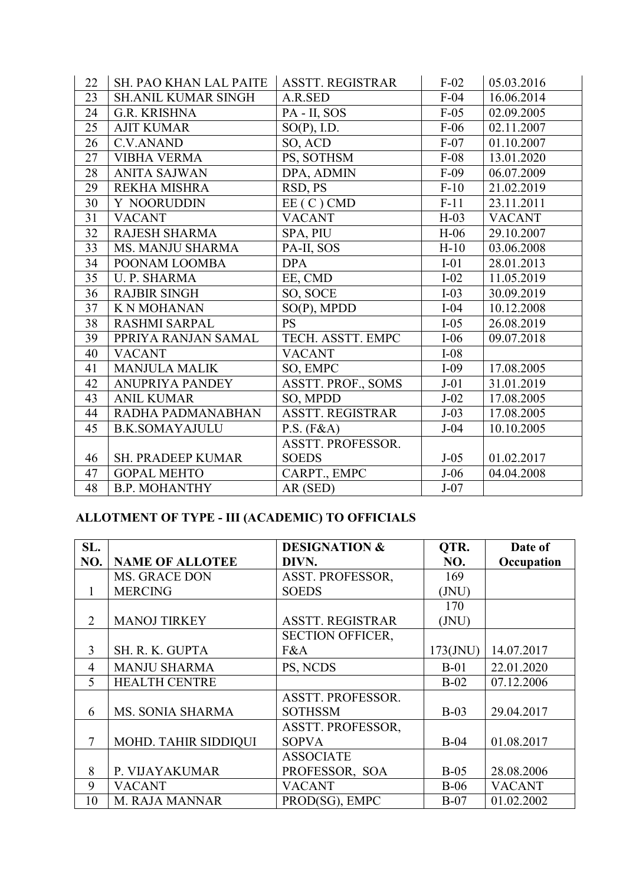| 22 | <b>SH. PAO KHAN LAL PAITE</b> | <b>ASSTT. REGISTRAR</b> | $F-02$ | 05.03.2016    |
|----|-------------------------------|-------------------------|--------|---------------|
| 23 | <b>SH.ANIL KUMAR SINGH</b>    | A.R.SED                 | $F-04$ | 16.06.2014    |
| 24 | <b>G.R. KRISHNA</b>           | PA - II, SOS            | $F-05$ | 02.09.2005    |
| 25 | <b>AJIT KUMAR</b>             | $SO(P)$ , I.D.          | $F-06$ | 02.11.2007    |
| 26 | <b>C.V.ANAND</b>              | SO, ACD                 | $F-07$ | 01.10.2007    |
| 27 | <b>VIBHA VERMA</b>            | PS, SOTHSM              | $F-08$ | 13.01.2020    |
| 28 | <b>ANITA SAJWAN</b>           | DPA, ADMIN              | $F-09$ | 06.07.2009    |
| 29 | <b>REKHA MISHRA</b>           | RSD, PS                 | $F-10$ | 21.02.2019    |
| 30 | Y NOORUDDIN                   | $EE(C)$ CMD             | $F-11$ | 23.11.2011    |
| 31 | <b>VACANT</b>                 | <b>VACANT</b>           | $H-03$ | <b>VACANT</b> |
| 32 | <b>RAJESH SHARMA</b>          | SPA, PIU                | $H-06$ | 29.10.2007    |
| 33 | <b>MS. MANJU SHARMA</b>       | PA-II, SOS              | $H-10$ | 03.06.2008    |
| 34 | POONAM LOOMBA                 | <b>DPA</b>              | $I-01$ | 28.01.2013    |
| 35 | <b>U. P. SHARMA</b>           | EE, CMD                 | $I-02$ | 11.05.2019    |
| 36 | <b>RAJBIR SINGH</b>           | SO, SOCE                | $I-03$ | 30.09.2019    |
| 37 | <b>K N MOHANAN</b>            | $SO(P)$ , MPDD          | $I-04$ | 10.12.2008    |
| 38 | <b>RASHMI SARPAL</b>          | <b>PS</b>               | $I-05$ | 26.08.2019    |
| 39 | PPRIYA RANJAN SAMAL           | TECH. ASSTT. EMPC       | $I-06$ | 09.07.2018    |
| 40 | <b>VACANT</b>                 | <b>VACANT</b>           | $I-08$ |               |
| 41 | <b>MANJULA MALIK</b>          | SO, EMPC                | $I-09$ | 17.08.2005    |
| 42 | <b>ANUPRIYA PANDEY</b>        | ASSTT. PROF., SOMS      | $J-01$ | 31.01.2019    |
| 43 | <b>ANIL KUMAR</b>             | SO, MPDD                | $J-02$ | 17.08.2005    |
| 44 | RADHA PADMANABHAN             | <b>ASSTT. REGISTRAR</b> | $J-03$ | 17.08.2005    |
| 45 | <b>B.K.SOMAYAJULU</b>         | P.S. (F&A)              | $J-04$ | 10.10.2005    |
|    |                               | ASSTT. PROFESSOR.       |        |               |
| 46 | <b>SH. PRADEEP KUMAR</b>      | <b>SOEDS</b>            | $J-05$ | 01.02.2017    |
| 47 | <b>GOPAL MEHTO</b>            | CARPT., EMPC            | $J-06$ | 04.04.2008    |
| 48 | <b>B.P. MOHANTHY</b>          | AR (SED)                | $J-07$ |               |

# **ALLOTMENT OF TYPE - III (ACADEMIC) TO OFFICIALS**

| SL.            |                        | <b>DESIGNATION &amp;</b> | QTR.                      | Date of       |
|----------------|------------------------|--------------------------|---------------------------|---------------|
| NO.            | <b>NAME OF ALLOTEE</b> | DIVN.                    | NO.                       | Occupation    |
|                | MS. GRACE DON          | ASST. PROFESSOR,         | 169                       |               |
| 1              | <b>MERCING</b>         | <b>SOEDS</b>             | ( JNU)                    |               |
|                |                        |                          | 170                       |               |
| $\overline{2}$ | <b>MANOJ TIRKEY</b>    | <b>ASSTT. REGISTRAR</b>  | $\left(\text{JNU}\right)$ |               |
|                |                        | <b>SECTION OFFICER,</b>  |                           |               |
| 3              | SH. R. K. GUPTA        | F&A                      | $173$ (JNU)               | 14.07.2017    |
| 4              | <b>MANJU SHARMA</b>    | PS, NCDS                 | $B-01$                    | 22.01.2020    |
| 5              | <b>HEALTH CENTRE</b>   |                          | $B-02$                    | 07.12.2006    |
|                |                        | ASSTT. PROFESSOR.        |                           |               |
| 6              | MS. SONIA SHARMA       | <b>SOTHSSM</b>           | $B-03$                    | 29.04.2017    |
|                |                        | <b>ASSTT. PROFESSOR,</b> |                           |               |
| 7              | MOHD. TAHIR SIDDIQUI   | <b>SOPVA</b>             | $B-04$                    | 01.08.2017    |
|                |                        | <b>ASSOCIATE</b>         |                           |               |
| 8              | P. VIJAYAKUMAR         | PROFESSOR, SOA           | $B-05$                    | 28.08.2006    |
| 9              | VACANT                 | <b>VACANT</b>            | $B-06$                    | <b>VACANT</b> |
| 10             | M. RAJA MANNAR         | PROD(SG), EMPC           | $B-07$                    | 01.02.2002    |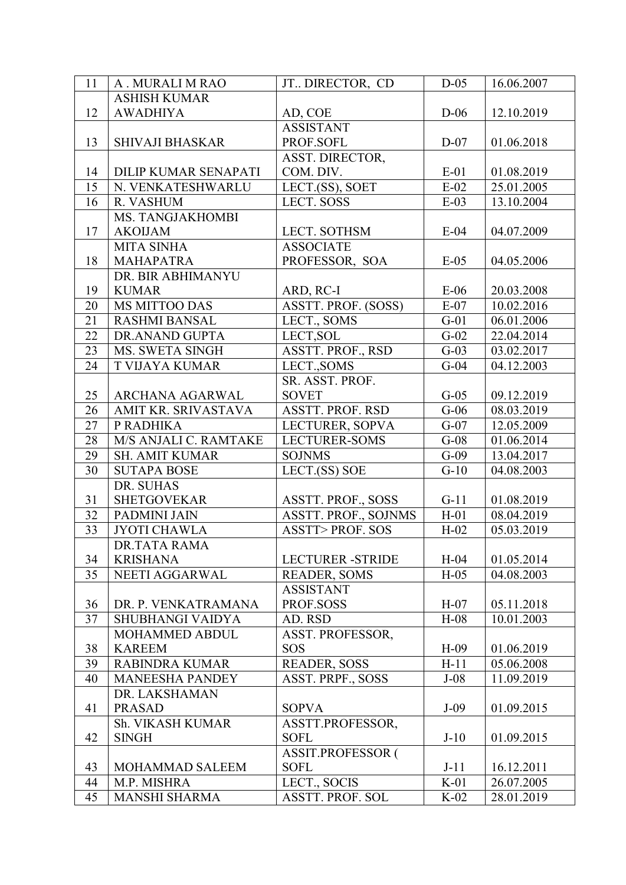| 11              | A . MURALI M RAO        | JT. DIRECTOR, CD            | $D-05$ | 16.06.2007 |
|-----------------|-------------------------|-----------------------------|--------|------------|
|                 | <b>ASHISH KUMAR</b>     |                             |        |            |
| 12              | <b>AWADHIYA</b>         | AD, COE                     | $D-06$ | 12.10.2019 |
|                 |                         | <b>ASSISTANT</b>            |        |            |
| 13              | <b>SHIVAJI BHASKAR</b>  | PROF.SOFL                   | $D-07$ | 01.06.2018 |
|                 |                         | ASST. DIRECTOR,             |        |            |
| 14              | DILIP KUMAR SENAPATI    | COM. DIV.                   | $E-01$ | 01.08.2019 |
| 15              | N. VENKATESHWARLU       | LECT.(SS), SOET             | $E-02$ | 25.01.2005 |
| 16              | R. VASHUM               | LECT. SOSS                  | $E-03$ | 13.10.2004 |
|                 | MS. TANGJAKHOMBI        |                             |        |            |
| 17              | <b>AKOIJAM</b>          | LECT. SOTHSM                | $E-04$ | 04.07.2009 |
|                 | <b>MITA SINHA</b>       | <b>ASSOCIATE</b>            |        |            |
| 18              | <b>MAHAPATRA</b>        | PROFESSOR, SOA              | $E-05$ | 04.05.2006 |
|                 | DR. BIR ABHIMANYU       |                             |        |            |
| 19              | <b>KUMAR</b>            | ARD, RC-I                   | $E-06$ | 20.03.2008 |
| 20              | MS MITTOO DAS           | ASSTT. PROF. (SOSS)         | $E-07$ | 10.02.2016 |
| 21              | <b>RASHMI BANSAL</b>    | LECT., SOMS                 | $G-01$ | 06.01.2006 |
| 22              | DR.ANAND GUPTA          | LECT, SOL                   | $G-02$ | 22.04.2014 |
| 23              | MS. SWETA SINGH         | ASSTT. PROF., RSD           | $G-03$ | 03.02.2017 |
| 24              | T VIJAYA KUMAR          | LECT., SOMS                 | $G-04$ | 04.12.2003 |
|                 |                         | SR. ASST. PROF.             |        |            |
| 25              | ARCHANA AGARWAL         | <b>SOVET</b>                | $G-05$ | 09.12.2019 |
| 26              | AMIT KR. SRIVASTAVA     | ASSTT. PROF. RSD            | $G-06$ | 08.03.2019 |
| 27              | P RADHIKA               | LECTURER, SOPVA             | $G-07$ | 12.05.2009 |
| 28              | M/S ANJALI C. RAMTAKE   | <b>LECTURER-SOMS</b>        | $G-08$ | 01.06.2014 |
| 29              | <b>SH. AMIT KUMAR</b>   | <b>SOJNMS</b>               | $G-09$ | 13.04.2017 |
| 30              | <b>SUTAPA BOSE</b>      | LECT.(SS) SOE               | $G-10$ | 04.08.2003 |
|                 | DR. SUHAS               |                             |        |            |
| 31              | <b>SHETGOVEKAR</b>      | <b>ASSTT. PROF., SOSS</b>   | $G-11$ | 01.08.2019 |
| 32              | PADMINI JAIN            | <b>ASSTT. PROF., SOJNMS</b> | $H-01$ | 08.04.2019 |
| $\overline{33}$ | <b>JYOTI CHAWLA</b>     | <b>ASSTT&gt;PROF. SOS</b>   | $H-02$ | 05.03.2019 |
|                 | DR.TATA RAMA            |                             |        |            |
| 34              | <b>KRISHANA</b>         | <b>LECTURER -STRIDE</b>     | $H-04$ | 01.05.2014 |
| 35              | NEETI AGGARWAL          | <b>READER, SOMS</b>         | $H-05$ | 04.08.2003 |
|                 |                         | <b>ASSISTANT</b>            |        |            |
| 36              | DR. P. VENKATRAMANA     | PROF.SOSS                   | $H-07$ | 05.11.2018 |
| 37              | <b>SHUBHANGI VAIDYA</b> | AD. RSD                     | $H-08$ | 10.01.2003 |
|                 | MOHAMMED ABDUL          | ASST. PROFESSOR,            |        |            |
| 38              | <b>KAREEM</b>           | <b>SOS</b>                  | $H-09$ | 01.06.2019 |
| 39              | <b>RABINDRA KUMAR</b>   | <b>READER, SOSS</b>         | $H-11$ | 05.06.2008 |
| 40              | <b>MANEESHA PANDEY</b>  | ASST. PRPF., SOSS           | $J-08$ | 11.09.2019 |
|                 | DR. LAKSHAMAN           |                             |        |            |
| 41              | <b>PRASAD</b>           | <b>SOPVA</b>                | $J-09$ | 01.09.2015 |
|                 | Sh. VIKASH KUMAR        | ASSTT.PROFESSOR,            |        |            |
| 42              | <b>SINGH</b>            | <b>SOFL</b>                 | $J-10$ | 01.09.2015 |
|                 |                         | <b>ASSIT.PROFESSOR (</b>    |        |            |
| 43              | MOHAMMAD SALEEM         | <b>SOFL</b>                 | $J-11$ | 16.12.2011 |
| 44              | M.P. MISHRA             | LECT., SOCIS                | $K-01$ | 26.07.2005 |
| 45              | <b>MANSHI SHARMA</b>    | ASSTT. PROF. SOL            | $K-02$ | 28.01.2019 |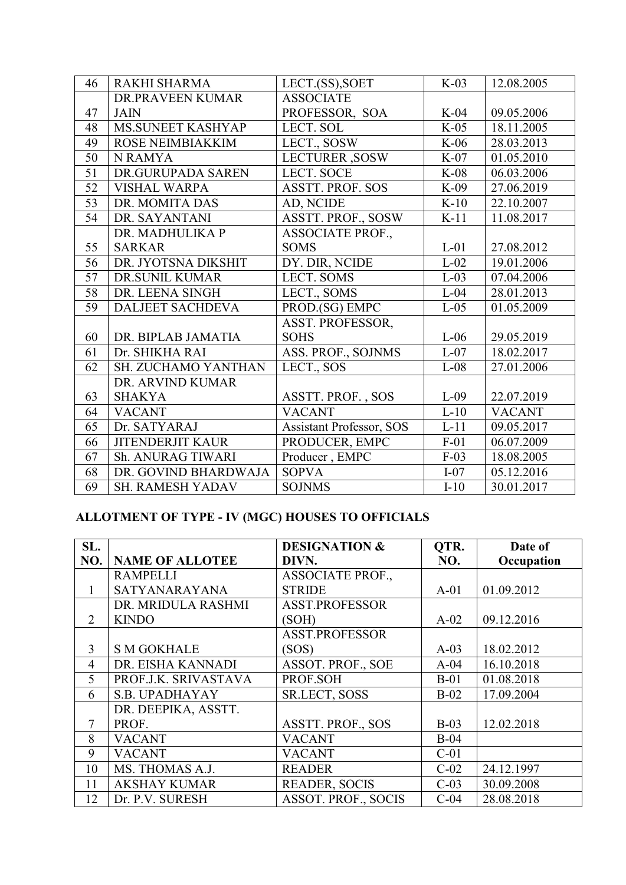| 46 | RAKHI SHARMA               | LECT.(SS), SOET                 | $K-03$ | 12.08.2005    |
|----|----------------------------|---------------------------------|--------|---------------|
|    | DR.PRAVEEN KUMAR           | <b>ASSOCIATE</b>                |        |               |
| 47 | <b>JAIN</b>                | PROFESSOR, SOA                  | $K-04$ | 09.05.2006    |
| 48 | MS.SUNEET KASHYAP          | LECT. SOL                       | $K-05$ | 18.11.2005    |
| 49 | ROSE NEIMBIAKKIM           | LECT., SOSW                     | $K-06$ | 28.03.2013    |
| 50 | <b>N RAMYA</b>             | <b>LECTURER</b> , SOSW          | $K-07$ | 01.05.2010    |
| 51 | DR.GURUPADA SAREN          | <b>LECT. SOCE</b>               | $K-08$ | 06.03.2006    |
| 52 | <b>VISHAL WARPA</b>        | <b>ASSTT. PROF. SOS</b>         | $K-09$ | 27.06.2019    |
| 53 | DR. MOMITA DAS             | AD, NCIDE                       | $K-10$ | 22.10.2007    |
| 54 | DR. SAYANTANI              | ASSTT. PROF., SOSW              | $K-11$ | 11.08.2017    |
|    | DR. MADHULIKA P            | <b>ASSOCIATE PROF.,</b>         |        |               |
| 55 | <b>SARKAR</b>              | <b>SOMS</b>                     | $L-01$ | 27.08.2012    |
| 56 | DR. JYOTSNA DIKSHIT        | DY. DIR, NCIDE                  | $L-02$ | 19.01.2006    |
| 57 | <b>DR.SUNIL KUMAR</b>      | <b>LECT. SOMS</b>               | $L-03$ | 07.04.2006    |
| 58 | DR. LEENA SINGH            | LECT., SOMS                     | $L-04$ | 28.01.2013    |
| 59 | <b>DALJEET SACHDEVA</b>    | PROD.(SG) EMPC                  | $L-05$ | 01.05.2009    |
|    |                            | ASST. PROFESSOR,                |        |               |
| 60 | DR. BIPLAB JAMATIA         | <b>SOHS</b>                     | $L-06$ | 29.05.2019    |
| 61 | Dr. SHIKHA RAI             | ASS. PROF., SOJNMS              | $L-07$ | 18.02.2017    |
| 62 | <b>SH. ZUCHAMO YANTHAN</b> | LECT., SOS                      | $L-08$ | 27.01.2006    |
|    | DR. ARVIND KUMAR           |                                 |        |               |
| 63 | <b>SHAKYA</b>              | ASSTT. PROF., SOS               | $L-09$ | 22.07.2019    |
| 64 | <b>VACANT</b>              | <b>VACANT</b>                   | $L-10$ | <b>VACANT</b> |
| 65 | Dr. SATYARAJ               | <b>Assistant Professor, SOS</b> | $L-11$ | 09.05.2017    |
| 66 | <b>JITENDERJIT KAUR</b>    | PRODUCER, EMPC                  | $F-01$ | 06.07.2009    |
| 67 | Sh. ANURAG TIWARI          | Producer, EMPC                  | $F-03$ | 18.08.2005    |
| 68 | DR. GOVIND BHARDWAJA       | <b>SOPVA</b>                    | $I-07$ | 05.12.2016    |
| 69 | <b>SH. RAMESH YADAV</b>    | <b>SOJNMS</b>                   | $I-10$ | 30.01.2017    |

## **ALLOTMENT OF TYPE - IV (MGC) HOUSES TO OFFICIALS**

| SL. |                        | <b>DESIGNATION &amp;</b>   | QTR.   | Date of    |
|-----|------------------------|----------------------------|--------|------------|
| NO. | <b>NAME OF ALLOTEE</b> | DIVN.                      | NO.    | Occupation |
|     | <b>RAMPELLI</b>        | <b>ASSOCIATE PROF.,</b>    |        |            |
| 1   | SATYANARAYANA          | <b>STRIDE</b>              | $A-01$ | 01.09.2012 |
|     | DR. MRIDULA RASHMI     | <b>ASST.PROFESSOR</b>      |        |            |
| 2   | <b>KINDO</b>           | (SOH)                      | $A-02$ | 09.12.2016 |
|     |                        | <b>ASST.PROFESSOR</b>      |        |            |
| 3   | <b>S M GOKHALE</b>     | (SOS)                      | $A-03$ | 18.02.2012 |
| 4   | DR. EISHA KANNADI      | <b>ASSOT. PROF., SOE</b>   | $A-04$ | 16.10.2018 |
| 5   | PROF.J.K. SRIVASTAVA   | PROF.SOH                   | $B-01$ | 01.08.2018 |
| 6   | <b>S.B. UPADHAYAY</b>  | <b>SR.LECT, SOSS</b>       | $B-02$ | 17.09.2004 |
|     | DR. DEEPIKA, ASSTT.    |                            |        |            |
| 7   | PROF.                  | <b>ASSTT. PROF., SOS</b>   | $B-03$ | 12.02.2018 |
| 8   | <b>VACANT</b>          | <b>VACANT</b>              | $B-04$ |            |
| 9   | <b>VACANT</b>          | <b>VACANT</b>              | $C-01$ |            |
| 10  | MS. THOMAS A.J.        | <b>READER</b>              | $C-02$ | 24.12.1997 |
| 11  | <b>AKSHAY KUMAR</b>    | <b>READER, SOCIS</b>       | $C-03$ | 30.09.2008 |
| 12  | Dr. P.V. SURESH        | <b>ASSOT. PROF., SOCIS</b> | $C-04$ | 28.08.2018 |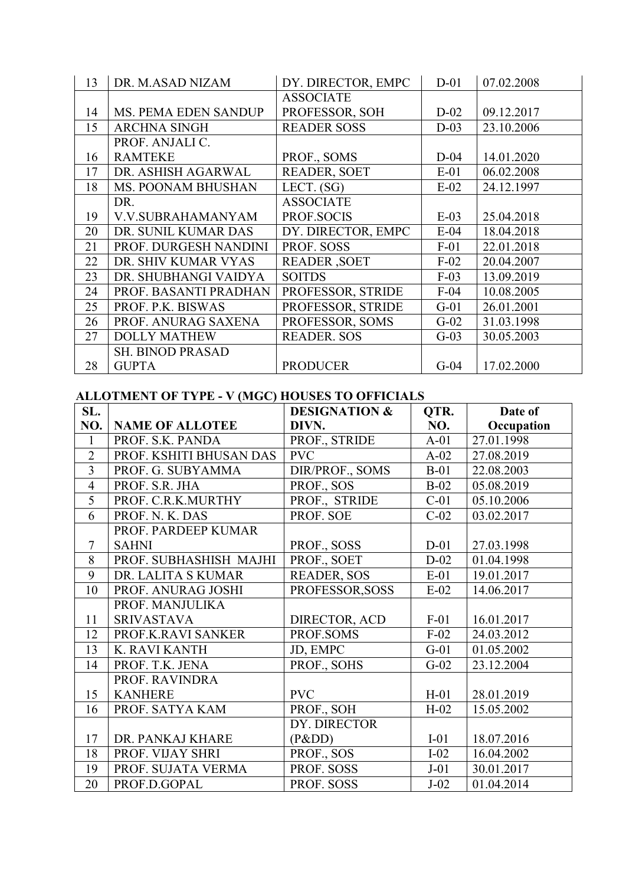| 13 | DR. M.ASAD NIZAM          | DY. DIRECTOR, EMPC  | $D-01$ | 07.02.2008 |
|----|---------------------------|---------------------|--------|------------|
|    |                           | <b>ASSOCIATE</b>    |        |            |
| 14 | MS. PEMA EDEN SANDUP      | PROFESSOR, SOH      | $D-02$ | 09.12.2017 |
| 15 | <b>ARCHNA SINGH</b>       | <b>READER SOSS</b>  | $D-03$ | 23.10.2006 |
|    | PROF. ANJALI C.           |                     |        |            |
| 16 | <b>RAMTEKE</b>            | PROF., SOMS         | $D-04$ | 14.01.2020 |
| 17 | DR. ASHISH AGARWAL        | <b>READER, SOET</b> | $E-01$ | 06.02.2008 |
| 18 | <b>MS. POONAM BHUSHAN</b> | LECT. $(SG)$        | $E-02$ | 24.12.1997 |
|    | DR.                       | <b>ASSOCIATE</b>    |        |            |
| 19 | V.V.SUBRAHAMANYAM         | PROF.SOCIS          | $E-03$ | 25.04.2018 |
| 20 | DR. SUNIL KUMAR DAS       | DY. DIRECTOR, EMPC  | $E-04$ | 18.04.2018 |
| 21 | PROF. DURGESH NANDINI     | PROF. SOSS          | $F-01$ | 22.01.2018 |
| 22 | DR. SHIV KUMAR VYAS       | <b>READER, SOET</b> | $F-02$ | 20.04.2007 |
| 23 | DR. SHUBHANGI VAIDYA      | <b>SOITDS</b>       | $F-03$ | 13.09.2019 |
| 24 | PROF. BASANTI PRADHAN     | PROFESSOR, STRIDE   | $F-04$ | 10.08.2005 |
| 25 | PROF. P.K. BISWAS         | PROFESSOR, STRIDE   | $G-01$ | 26.01.2001 |
| 26 | PROF. ANURAG SAXENA       | PROFESSOR, SOMS     | $G-02$ | 31.03.1998 |
| 27 | <b>DOLLY MATHEW</b>       | <b>READER. SOS</b>  | $G-03$ | 30.05.2003 |
|    | <b>SH. BINOD PRASAD</b>   |                     |        |            |
| 28 | <b>GUPTA</b>              | <b>PRODUCER</b>     | $G-04$ | 17.02.2000 |

#### **ALLOTMENT OF TYPE - V (MGC) HOUSES TO OFFICIALS**

| SL.            | $\frac{1}{2}$ of the $\frac{1}{2}$ $\frac{1}{2}$ $\frac{1}{2}$ $\frac{1}{2}$ $\frac{1}{2}$ $\frac{1}{2}$ $\frac{1}{2}$ $\frac{1}{2}$ $\frac{1}{2}$ $\frac{1}{2}$ $\frac{1}{2}$ $\frac{1}{2}$ $\frac{1}{2}$ $\frac{1}{2}$ $\frac{1}{2}$ $\frac{1}{2}$ $\frac{1}{2}$ $\frac{1}{2}$ $\frac{1}{2}$ $\frac{1}{2}$ $\frac{$ | <b>DESIGNATION &amp;</b> | QTR.   | Date of    |
|----------------|-----------------------------------------------------------------------------------------------------------------------------------------------------------------------------------------------------------------------------------------------------------------------------------------------------------------------|--------------------------|--------|------------|
| NO.            | <b>NAME OF ALLOTEE</b>                                                                                                                                                                                                                                                                                                | DIVN.                    | NO.    | Occupation |
| $\mathbf{1}$   | PROF. S.K. PANDA                                                                                                                                                                                                                                                                                                      | PROF., STRIDE            | $A-01$ | 27.01.1998 |
| $\overline{2}$ | PROF. KSHITI BHUSAN DAS                                                                                                                                                                                                                                                                                               | <b>PVC</b>               | $A-02$ | 27.08.2019 |
| $\overline{3}$ | PROF. G. SUBYAMMA                                                                                                                                                                                                                                                                                                     | DIR/PROF., SOMS          | $B-01$ | 22.08.2003 |
| $\overline{4}$ | PROF. S.R. JHA                                                                                                                                                                                                                                                                                                        | PROF., SOS               | $B-02$ | 05.08.2019 |
| 5              | PROF. C.R.K.MURTHY                                                                                                                                                                                                                                                                                                    | PROF., STRIDE            | $C-01$ | 05.10.2006 |
| 6              | PROF. N. K. DAS                                                                                                                                                                                                                                                                                                       | PROF. SOE                | $C-02$ | 03.02.2017 |
|                | PROF. PARDEEP KUMAR                                                                                                                                                                                                                                                                                                   |                          |        |            |
| $\overline{7}$ | <b>SAHNI</b>                                                                                                                                                                                                                                                                                                          | PROF., SOSS              | $D-01$ | 27.03.1998 |
| 8              | PROF. SUBHASHISH MAJHI                                                                                                                                                                                                                                                                                                | PROF., SOET              | $D-02$ | 01.04.1998 |
| 9              | DR. LALITA S KUMAR                                                                                                                                                                                                                                                                                                    | <b>READER, SOS</b>       | $E-01$ | 19.01.2017 |
| 10             | PROF. ANURAG JOSHI                                                                                                                                                                                                                                                                                                    | PROFESSOR, SOSS          | $E-02$ | 14.06.2017 |
|                | PROF. MANJULIKA                                                                                                                                                                                                                                                                                                       |                          |        |            |
| 11             | <b>SRIVASTAVA</b>                                                                                                                                                                                                                                                                                                     | DIRECTOR, ACD            | $F-01$ | 16.01.2017 |
| 12             | PROF.K.RAVI SANKER                                                                                                                                                                                                                                                                                                    | PROF.SOMS                | $F-02$ | 24.03.2012 |
| 13             | K. RAVI KANTH                                                                                                                                                                                                                                                                                                         | JD, EMPC                 | $G-01$ | 01.05.2002 |
| 14             | PROF. T.K. JENA                                                                                                                                                                                                                                                                                                       | PROF., SOHS              | $G-02$ | 23.12.2004 |
|                | PROF. RAVINDRA                                                                                                                                                                                                                                                                                                        |                          |        |            |
| 15             | <b>KANHERE</b>                                                                                                                                                                                                                                                                                                        | <b>PVC</b>               | $H-01$ | 28.01.2019 |
| 16             | PROF. SATYA KAM                                                                                                                                                                                                                                                                                                       | PROF., SOH               | $H-02$ | 15.05.2002 |
|                |                                                                                                                                                                                                                                                                                                                       | DY. DIRECTOR             |        |            |
| 17             | DR. PANKAJ KHARE                                                                                                                                                                                                                                                                                                      | (Pⅅ)                     | $I-01$ | 18.07.2016 |
| 18             | PROF. VIJAY SHRI                                                                                                                                                                                                                                                                                                      | PROF., SOS               | $I-02$ | 16.04.2002 |
| 19             | PROF. SUJATA VERMA                                                                                                                                                                                                                                                                                                    | PROF. SOSS               | $J-01$ | 30.01.2017 |
| 20             | PROF.D.GOPAL                                                                                                                                                                                                                                                                                                          | PROF. SOSS               | $J-02$ | 01.04.2014 |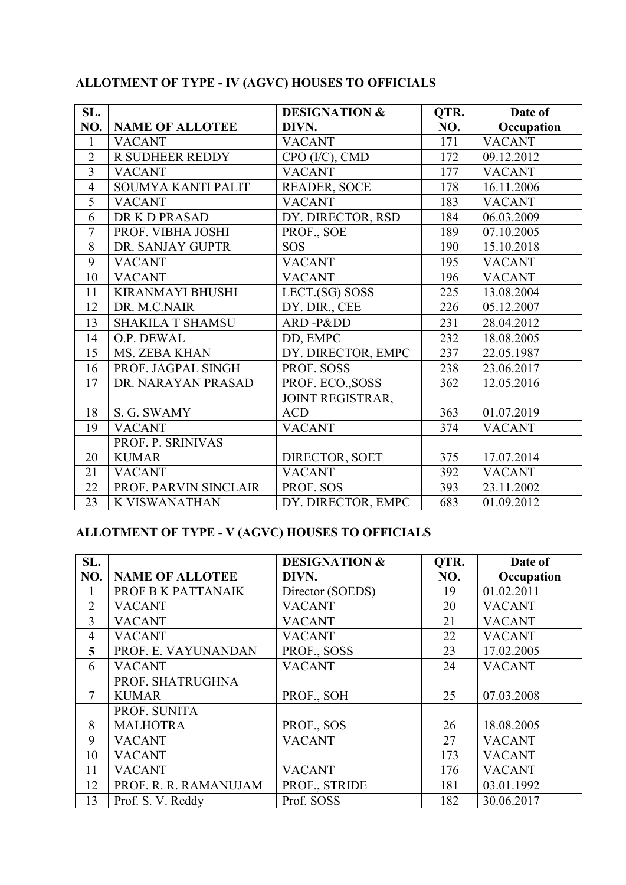| SL.            |                         | <b>DESIGNATION &amp;</b> | QTR. | Date of       |
|----------------|-------------------------|--------------------------|------|---------------|
| NO.            | <b>NAME OF ALLOTEE</b>  | DIVN.                    | NO.  | Occupation    |
| $\mathbf{1}$   | <b>VACANT</b>           | <b>VACANT</b>            | 171  | <b>VACANT</b> |
| $\overline{2}$ | <b>R SUDHEER REDDY</b>  | CPO (I/C), CMD           | 172  | 09.12.2012    |
| $\overline{3}$ | <b>VACANT</b>           | <b>VACANT</b>            | 177  | <b>VACANT</b> |
| $\overline{4}$ | SOUMYA KANTI PALIT      | <b>READER, SOCE</b>      | 178  | 16.11.2006    |
| 5              | <b>VACANT</b>           | <b>VACANT</b>            | 183  | <b>VACANT</b> |
| 6              | DR K D PRASAD           | DY. DIRECTOR, RSD        | 184  | 06.03.2009    |
| $\overline{7}$ | PROF. VIBHA JOSHI       | PROF., SOE               | 189  | 07.10.2005    |
| 8              | DR. SANJAY GUPTR        | <b>SOS</b>               | 190  | 15.10.2018    |
| 9              | <b>VACANT</b>           | <b>VACANT</b>            | 195  | <b>VACANT</b> |
| 10             | <b>VACANT</b>           | <b>VACANT</b>            | 196  | <b>VACANT</b> |
| 11             | <b>KIRANMAYI BHUSHI</b> | LECT.(SG) SOSS           | 225  | 13.08.2004    |
| 12             | DR. M.C.NAIR            | DY. DIR., CEE            | 226  | 05.12.2007    |
| 13             | <b>SHAKILA T SHAMSU</b> | ARD-Pⅅ                   | 231  | 28.04.2012    |
| 14             | O.P. DEWAL              | DD, EMPC                 | 232  | 18.08.2005    |
| 15             | MS. ZEBA KHAN           | DY. DIRECTOR, EMPC       | 237  | 22.05.1987    |
| 16             | PROF. JAGPAL SINGH      | PROF. SOSS               | 238  | 23.06.2017    |
| 17             | DR. NARAYAN PRASAD      | PROF. ECO., SOSS         | 362  | 12.05.2016    |
|                |                         | JOINT REGISTRAR,         |      |               |
| 18             | S. G. SWAMY             | <b>ACD</b>               | 363  | 01.07.2019    |
| 19             | <b>VACANT</b>           | <b>VACANT</b>            | 374  | <b>VACANT</b> |
|                | PROF. P. SRINIVAS       |                          |      |               |
| 20             | <b>KUMAR</b>            | DIRECTOR, SOET           | 375  | 17.07.2014    |
| 21             | <b>VACANT</b>           | <b>VACANT</b>            | 392  | <b>VACANT</b> |
| 22             | PROF. PARVIN SINCLAIR   | PROF. SOS                | 393  | 23.11.2002    |
| 23             | <b>K VISWANATHAN</b>    | DY. DIRECTOR, EMPC       | 683  | 01.09.2012    |

## **ALLOTMENT OF TYPE - IV (AGVC) HOUSES TO OFFICIALS**

## **ALLOTMENT OF TYPE - V (AGVC) HOUSES TO OFFICIALS**

| SL.            |                        | <b>DESIGNATION &amp;</b> | QTR. | Date of       |
|----------------|------------------------|--------------------------|------|---------------|
| NO.            | <b>NAME OF ALLOTEE</b> | DIVN.                    | NO.  | Occupation    |
|                | PROF B K PATTANAIK     | Director (SOEDS)         | 19   | 01.02.2011    |
| $\overline{2}$ | <b>VACANT</b>          | <b>VACANT</b>            | 20   | <b>VACANT</b> |
| 3              | <b>VACANT</b>          | <b>VACANT</b>            | 21   | <b>VACANT</b> |
| $\overline{4}$ | <b>VACANT</b>          | <b>VACANT</b>            | 22   | <b>VACANT</b> |
| 5              | PROF. E. VAYUNANDAN    | PROF., SOSS              | 23   | 17.02.2005    |
| 6              | <b>VACANT</b>          | <b>VACANT</b>            | 24   | <b>VACANT</b> |
|                | PROF. SHATRUGHNA       |                          |      |               |
|                | <b>KUMAR</b>           | PROF., SOH               | 25   | 07.03.2008    |
|                | PROF. SUNITA           |                          |      |               |
| 8              | <b>MALHOTRA</b>        | PROF., SOS               | 26   | 18.08.2005    |
| 9              | <b>VACANT</b>          | <b>VACANT</b>            | 27   | <b>VACANT</b> |
| 10             | <b>VACANT</b>          |                          | 173  | <b>VACANT</b> |
| 11             | <b>VACANT</b>          | <b>VACANT</b>            | 176  | <b>VACANT</b> |
| 12             | PROF. R. R. RAMANUJAM  | PROF., STRIDE            | 181  | 03.01.1992    |
| 13             | Prof. S. V. Reddy      | Prof. SOSS               | 182  | 30.06.2017    |